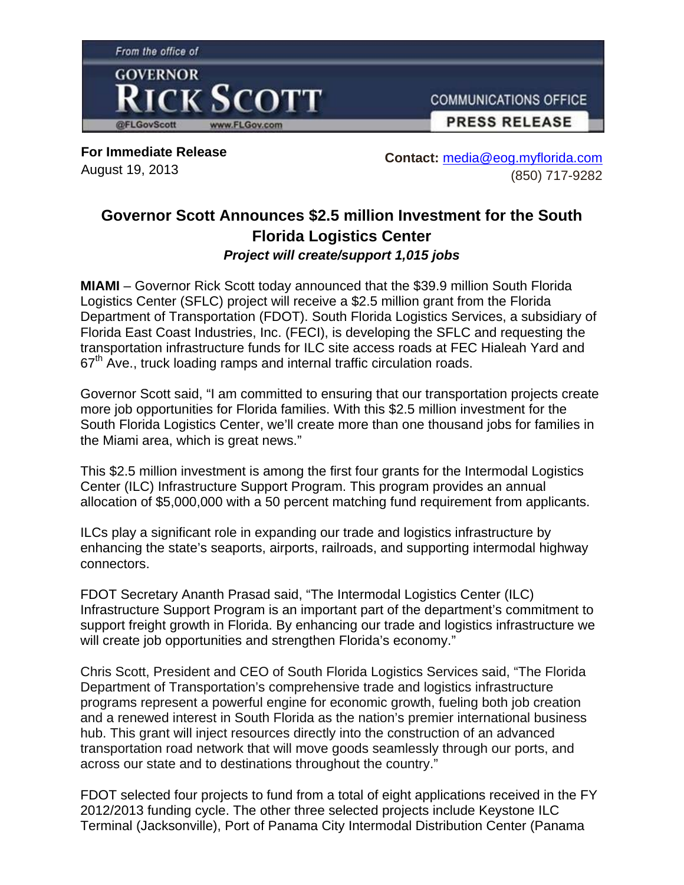

**For Immediate Release**  August 19, 2013

**Contact:** media@eog.myflorida.com (850) 717-9282

## **Governor Scott Announces \$2.5 million Investment for the South Florida Logistics Center**  *Project will create/support 1,015 jobs*

**MIAMI** – Governor Rick Scott today announced that the \$39.9 million South Florida Logistics Center (SFLC) project will receive a \$2.5 million grant from the Florida Department of Transportation (FDOT). South Florida Logistics Services, a subsidiary of Florida East Coast Industries, Inc. (FECI), is developing the SFLC and requesting the transportation infrastructure funds for ILC site access roads at FEC Hialeah Yard and  $67<sup>th</sup>$  Ave., truck loading ramps and internal traffic circulation roads.

Governor Scott said, "I am committed to ensuring that our transportation projects create more job opportunities for Florida families. With this \$2.5 million investment for the South Florida Logistics Center, we'll create more than one thousand jobs for families in the Miami area, which is great news."

This \$2.5 million investment is among the first four grants for the Intermodal Logistics Center (ILC) Infrastructure Support Program. This program provides an annual allocation of \$5,000,000 with a 50 percent matching fund requirement from applicants.

ILCs play a significant role in expanding our trade and logistics infrastructure by enhancing the state's seaports, airports, railroads, and supporting intermodal highway connectors.

FDOT Secretary Ananth Prasad said, "The Intermodal Logistics Center (ILC) Infrastructure Support Program is an important part of the department's commitment to support freight growth in Florida. By enhancing our trade and logistics infrastructure we will create job opportunities and strengthen Florida's economy."

Chris Scott, President and CEO of South Florida Logistics Services said, "The Florida Department of Transportation's comprehensive trade and logistics infrastructure programs represent a powerful engine for economic growth, fueling both job creation and a renewed interest in South Florida as the nation's premier international business hub. This grant will inject resources directly into the construction of an advanced transportation road network that will move goods seamlessly through our ports, and across our state and to destinations throughout the country."

FDOT selected four projects to fund from a total of eight applications received in the FY 2012/2013 funding cycle. The other three selected projects include Keystone ILC Terminal (Jacksonville), Port of Panama City Intermodal Distribution Center (Panama